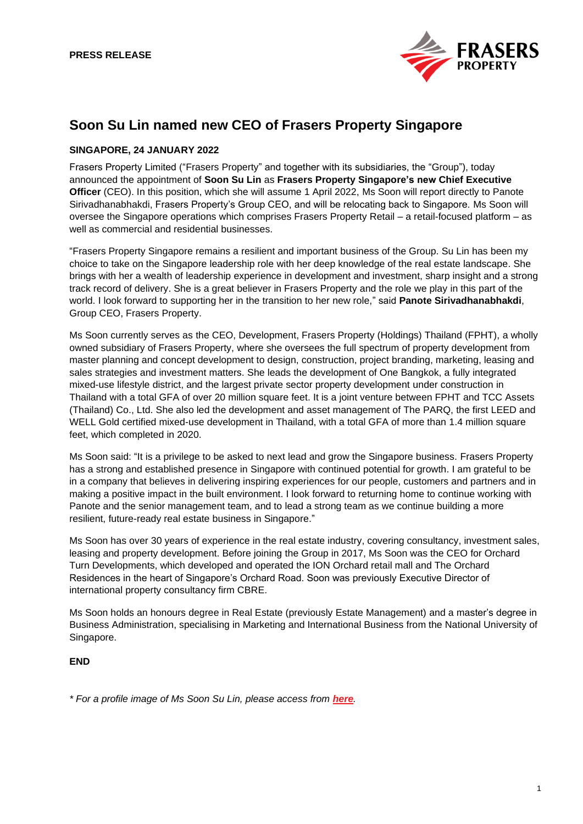

# **Soon Su Lin named new CEO of Frasers Property Singapore**

## **SINGAPORE, 24 JANUARY 2022**

Frasers Property Limited ("Frasers Property" and together with its subsidiaries, the "Group"), today announced the appointment of **Soon Su Lin** as **Frasers Property Singapore's new Chief Executive Officer** (CEO). In this position, which she will assume 1 April 2022, Ms Soon will report directly to Panote Sirivadhanabhakdi, Frasers Property's Group CEO, and will be relocating back to Singapore. Ms Soon will oversee the Singapore operations which comprises Frasers Property Retail – a retail-focused platform – as well as commercial and residential businesses.

"Frasers Property Singapore remains a resilient and important business of the Group. Su Lin has been my choice to take on the Singapore leadership role with her deep knowledge of the real estate landscape. She brings with her a wealth of leadership experience in development and investment, sharp insight and a strong track record of delivery. She is a great believer in Frasers Property and the role we play in this part of the world. I look forward to supporting her in the transition to her new role," said **Panote Sirivadhanabhakdi**, Group CEO, Frasers Property.

Ms Soon currently serves as the CEO, Development, Frasers Property (Holdings) Thailand (FPHT), a wholly owned subsidiary of Frasers Property, where she oversees the full spectrum of property development from master planning and concept development to design, construction, project branding, marketing, leasing and sales strategies and investment matters. She leads the development of One Bangkok, a fully integrated mixed-use lifestyle district, and the largest private sector property development under construction in Thailand with a total GFA of over 20 million square feet. It is a joint venture between FPHT and TCC Assets (Thailand) Co., Ltd. She also led the development and asset management of The PARQ, the first LEED and WELL Gold certified mixed-use development in Thailand, with a total GFA of more than 1.4 million square feet, which completed in 2020.

Ms Soon said: "It is a privilege to be asked to next lead and grow the Singapore business. Frasers Property has a strong and established presence in Singapore with continued potential for growth. I am grateful to be in a company that believes in delivering inspiring experiences for our people, customers and partners and in making a positive impact in the built environment. I look forward to returning home to continue working with Panote and the senior management team, and to lead a strong team as we continue building a more resilient, future-ready real estate business in Singapore."

Ms Soon has over 30 years of experience in the real estate industry, covering consultancy, investment sales, leasing and property development. Before joining the Group in 2017, Ms Soon was the CEO for Orchard Turn Developments, which developed and operated the ION Orchard retail mall and The Orchard Residences in the heart of Singapore's Orchard Road. Soon was previously Executive Director of international property consultancy firm CBRE.

Ms Soon holds an honours degree in Real Estate (previously Estate Management) and a master's degree in Business Administration, specialising in Marketing and International Business from the National University of Singapore.

### **END**

*\* For a profile image of Ms Soon Su Lin, please access from [here](https://fraserspropertyltd.app.box.com/s/zv0y5bhr2m9hbyjlonrpcwm9v3zzek5o).*